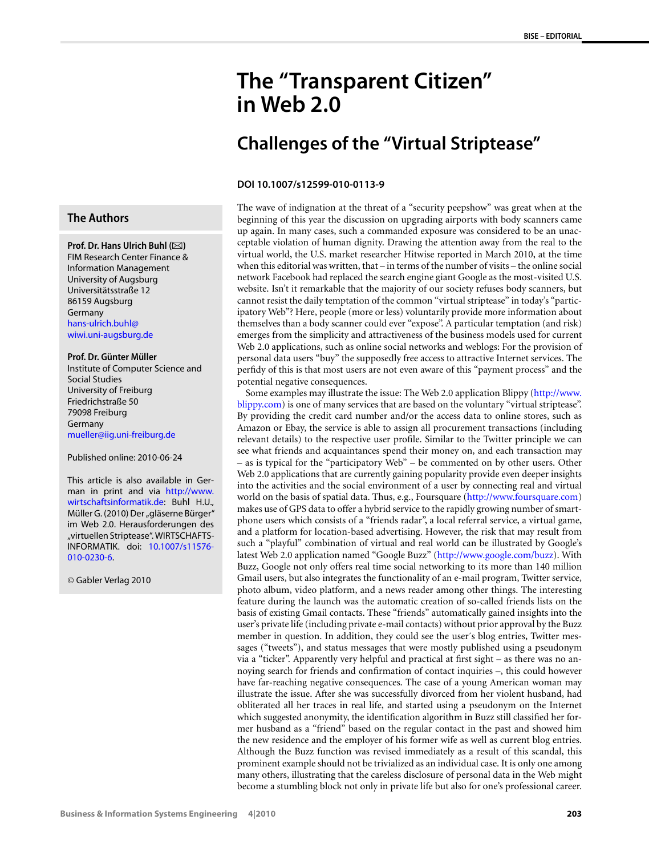# **The "Transparent Citizen" in Web 2.0**

## **Challenges of the "Virtual Striptease"**

#### **DOI 10.1007/s12599-010-0113-9**

The wave of indignation at the threat of a "security peepshow" was great when at the beginning of this year the discussion on upgrading airports with body scanners came up again. In many cases, such a commanded exposure was considered to be an unacceptable violation of human dignity. Drawing the attention away from the real to the virtual world, the U.S. market researcher Hitwise reported in March 2010, at the time when this editorial was written, that – in terms of the number of visits – the online social network Facebook had replaced the search engine giant Google as the most-visited U.S. website. Isn't it remarkable that the majority of our society refuses body scanners, but cannot resist the daily temptation of the common "virtual striptease" in today's "participatory Web"? Here, people (more or less) voluntarily provide more information about themselves than a body scanner could ever "expose". A particular temptation (and risk) emerges from the simplicity and attractiveness of the business models used for current Web 2.0 applications, such as online social networks and weblogs: For the provision of personal data users "buy" the supposedly free access to attractive Internet services. The perfidy of this is that most users are not even aware of this "payment process" and the potential negative consequences.

Some examples may illustrate the issue: The Web 2.0 application Blippy ([http://www.](http://www.blippy.com) [blippy.com](http://www.blippy.com)) is one of many services that are based on the voluntary "virtual striptease". By providing the credit card number and/or the access data to online stores, such as Amazon or Ebay, the service is able to assign all procurement transactions (including relevant details) to the respective user profile. Similar to the Twitter principle we can see what friends and acquaintances spend their money on, and each transaction may – as is typical for the "participatory Web" – be commented on by other users. Other Web 2.0 applications that are currently gaining popularity provide even deeper insights into the activities and the social environment of a user by connecting real and virtual world on the basis of spatial data. Thus, e.g., Foursquare ([http://www.foursquare.com\)](http://www.foursquare.com) makes use of GPS data to offer a hybrid service to the rapidly growing number of smartphone users which consists of a "friends radar", a local referral service, a virtual game, and a platform for location-based advertising. However, the risk that may result from such a "playful" combination of virtual and real world can be illustrated by Google's latest Web 2.0 application named "Google Buzz" [\(http://www.google.com/buzz](http://www.google.com/buzz)). With Buzz, Google not only offers real time social networking to its more than 140 million Gmail users, but also integrates the functionality of an e-mail program, Twitter service, photo album, video platform, and a news reader among other things. The interesting feature during the launch was the automatic creation of so-called friends lists on the basis of existing Gmail contacts. These "friends" automatically gained insights into the user's private life (including private e-mail contacts) without prior approval by the Buzz member in question. In addition, they could see the user's blog entries, Twitter messages ("tweets"), and status messages that were mostly published using a pseudonym via a "ticker". Apparently very helpful and practical at first sight – as there was no annoying search for friends and confirmation of contact inquiries –, this could however have far-reaching negative consequences. The case of a young American woman may illustrate the issue. After she was successfully divorced from her violent husband, had obliterated all her traces in real life, and started using a pseudonym on the Internet which suggested anonymity, the identification algorithm in Buzz still classified her former husband as a "friend" based on the regular contact in the past and showed him the new residence and the employer of his former wife as well as current blog entries. Although the Buzz function was revised immediately as a result of this scandal, this prominent example should not be trivialized as an individual case. It is only one among many others, illustrating that the careless disclosure of personal data in the Web might become a stumbling block not only in private life but also for one's professional career.

### **The Authors**

**Prof. Dr. Hans Ulrich Buhl (**-**)** FIM Research Center Finance & Information Management University of Augsburg Universitätsstraße 12 86159 Augsburg Germany [hans-ulrich.buhl@](mailto:hans-ulrich.buhl@wiwi.uni-augsburg.de) [wiwi.uni-augsburg.de](mailto:hans-ulrich.buhl@wiwi.uni-augsburg.de)

#### **Prof. Dr. Günter Müller**

Institute of Computer Science and Social Studies University of Freiburg Friedrichstraße 50 79098 Freiburg Germany [mueller@iig.uni-freiburg.de](mailto:mueller@iig.uni-freiburg.de)

Published online: 2010-06-24

This article is also available in German in print and via [http://www.](http://www.wirtschaftsinformatik.de) [wirtschaftsinformatik.de:](http://www.wirtschaftsinformatik.de) Buhl H.U., Müller G. (2010) Der "gläserne Bürger" im Web 2.0. Herausforderungen des "virtuellen Striptease". WIRTSCHAFTS-INFORMATIK. doi: [10.1007/s11576-](http://dx.doi.org/10.1007/s11576-010-0230-6) [010-0230-6](http://dx.doi.org/10.1007/s11576-010-0230-6).

© Gabler Verlag 2010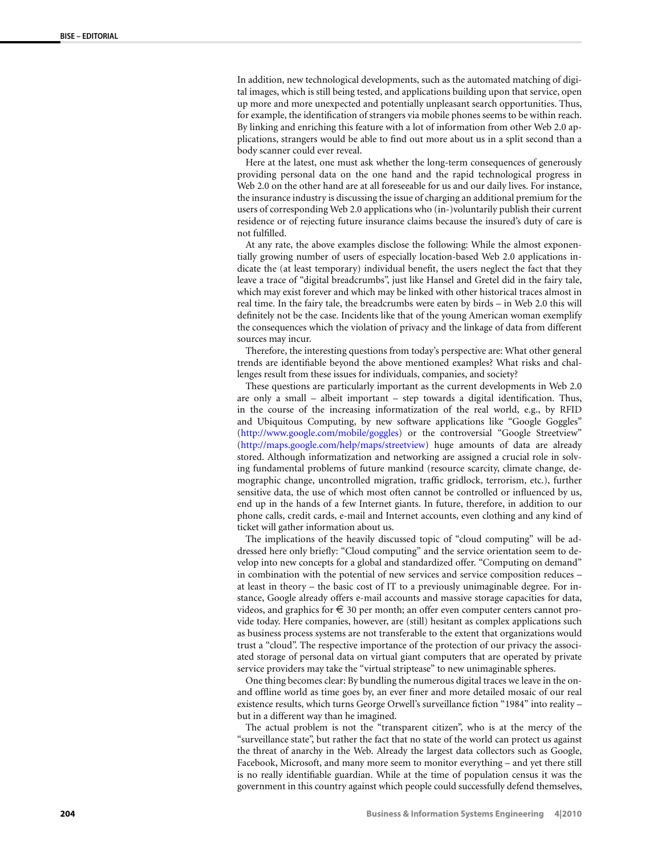In addition, new technological developments, such as the automated matching of digital images, which is still being tested, and applications building upon that service, open up more and more unexpected and potentially unpleasant search opportunities. Thus, for example, the identification of strangers via mobile phones seems to be within reach. By linking and enriching this feature with a lot of information from other Web 2.0 applications, strangers would be able to find out more about us in a split second than a body scanner could ever reveal.

Here at the latest, one must ask whether the long-term consequences of generously providing personal data on the one hand and the rapid technological progress in Web 2.0 on the other hand are at all foreseeable for us and our daily lives. For instance, the insurance industry is discussing the issue of charging an additional premium for the users of corresponding Web 2.0 applications who (in-)voluntarily publish their current residence or of rejecting future insurance claims because the insured's duty of care is not fulfilled.

At any rate, the above examples disclose the following: While the almost exponentially growing number of users of especially location-based Web 2.0 applications indicate the (at least temporary) individual benefit, the users neglect the fact that they leave a trace of "digital breadcrumbs", just like Hansel and Gretel did in the fairy tale, which may exist forever and which may be linked with other historical traces almost in real time. In the fairy tale, the breadcrumbs were eaten by birds – in Web 2.0 this will definitely not be the case. Incidents like that of the young American woman exemplify the consequences which the violation of privacy and the linkage of data from different sources may incur.

Therefore, the interesting questions from today's perspective are: What other general trends are identifiable beyond the above mentioned examples? What risks and challenges result from these issues for individuals, companies, and society?

These questions are particularly important as the current developments in Web 2.0 are only a small – albeit important – step towards a digital identification. Thus, in the course of the increasing informatization of the real world, e.g., by RFID and Ubiquitous Computing, by new software applications like "Google Goggles" ([http://www.google.com/mobile/goggles\)](http://www.google.com/mobile/goggles) or the controversial "Google Streetview" ([http://maps.google.com/help/maps/streetview\)](http://maps.google.com/help/maps/streetview) huge amounts of data are already stored. Although informatization and networking are assigned a crucial role in solving fundamental problems of future mankind (resource scarcity, climate change, demographic change, uncontrolled migration, traffic gridlock, terrorism, etc.), further sensitive data, the use of which most often cannot be controlled or influenced by us, end up in the hands of a few Internet giants. In future, therefore, in addition to our phone calls, credit cards, e-mail and Internet accounts, even clothing and any kind of ticket will gather information about us.

The implications of the heavily discussed topic of "cloud computing" will be addressed here only briefly: "Cloud computing" and the service orientation seem to develop into new concepts for a global and standardized offer. "Computing on demand" in combination with the potential of new services and service composition reduces – at least in theory – the basic cost of IT to a previously unimaginable degree. For instance, Google already offers e-mail accounts and massive storage capacities for data, videos, and graphics for  $\epsilon \in \mathcal{S}$  per month; an offer even computer centers cannot provide today. Here companies, however, are (still) hesitant as complex applications such as business process systems are not transferable to the extent that organizations would trust a "cloud". The respective importance of the protection of our privacy the associated storage of personal data on virtual giant computers that are operated by private service providers may take the "virtual striptease" to new unimaginable spheres.

One thing becomes clear: By bundling the numerous digital traces we leave in the onand offline world as time goes by, an ever finer and more detailed mosaic of our real existence results, which turns George Orwell's surveillance fiction "1984" into reality – but in a different way than he imagined.

The actual problem is not the "transparent citizen", who is at the mercy of the "surveillance state", but rather the fact that no state of the world can protect us against the threat of anarchy in the Web. Already the largest data collectors such as Google, Facebook, Microsoft, and many more seem to monitor everything – and yet there still is no really identifiable guardian. While at the time of population census it was the government in this country against which people could successfully defend themselves,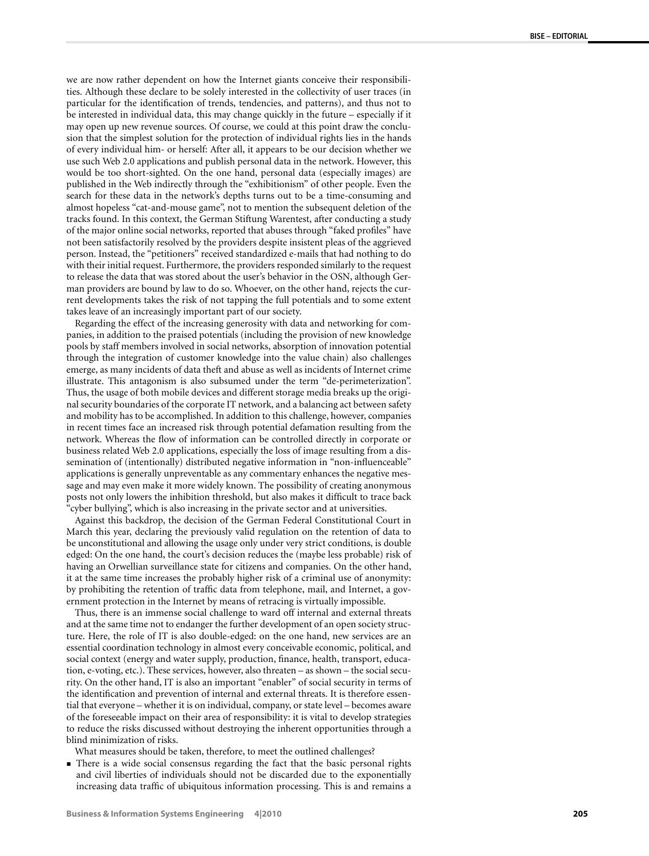we are now rather dependent on how the Internet giants conceive their responsibilities. Although these declare to be solely interested in the collectivity of user traces (in particular for the identification of trends, tendencies, and patterns), and thus not to be interested in individual data, this may change quickly in the future – especially if it may open up new revenue sources. Of course, we could at this point draw the conclusion that the simplest solution for the protection of individual rights lies in the hands of every individual him- or herself: After all, it appears to be our decision whether we use such Web 2.0 applications and publish personal data in the network. However, this would be too short-sighted. On the one hand, personal data (especially images) are published in the Web indirectly through the "exhibitionism" of other people. Even the search for these data in the network's depths turns out to be a time-consuming and almost hopeless "cat-and-mouse game", not to mention the subsequent deletion of the tracks found. In this context, the German Stiftung Warentest, after conducting a study of the major online social networks, reported that abuses through "faked profiles" have not been satisfactorily resolved by the providers despite insistent pleas of the aggrieved person. Instead, the "petitioners" received standardized e-mails that had nothing to do with their initial request. Furthermore, the providers responded similarly to the request to release the data that was stored about the user's behavior in the OSN, although German providers are bound by law to do so. Whoever, on the other hand, rejects the current developments takes the risk of not tapping the full potentials and to some extent takes leave of an increasingly important part of our society.

Regarding the effect of the increasing generosity with data and networking for companies, in addition to the praised potentials (including the provision of new knowledge pools by staff members involved in social networks, absorption of innovation potential through the integration of customer knowledge into the value chain) also challenges emerge, as many incidents of data theft and abuse as well as incidents of Internet crime illustrate. This antagonism is also subsumed under the term "de-perimeterization". Thus, the usage of both mobile devices and different storage media breaks up the original security boundaries of the corporate IT network, and a balancing act between safety and mobility has to be accomplished. In addition to this challenge, however, companies in recent times face an increased risk through potential defamation resulting from the network. Whereas the flow of information can be controlled directly in corporate or business related Web 2.0 applications, especially the loss of image resulting from a dissemination of (intentionally) distributed negative information in "non-influenceable" applications is generally unpreventable as any commentary enhances the negative message and may even make it more widely known. The possibility of creating anonymous posts not only lowers the inhibition threshold, but also makes it difficult to trace back "cyber bullying", which is also increasing in the private sector and at universities.

Against this backdrop, the decision of the German Federal Constitutional Court in March this year, declaring the previously valid regulation on the retention of data to be unconstitutional and allowing the usage only under very strict conditions, is double edged: On the one hand, the court's decision reduces the (maybe less probable) risk of having an Orwellian surveillance state for citizens and companies. On the other hand, it at the same time increases the probably higher risk of a criminal use of anonymity: by prohibiting the retention of traffic data from telephone, mail, and Internet, a government protection in the Internet by means of retracing is virtually impossible.

Thus, there is an immense social challenge to ward off internal and external threats and at the same time not to endanger the further development of an open society structure. Here, the role of IT is also double-edged: on the one hand, new services are an essential coordination technology in almost every conceivable economic, political, and social context (energy and water supply, production, finance, health, transport, education, e-voting, etc.). These services, however, also threaten – as shown – the social security. On the other hand, IT is also an important "enabler" of social security in terms of the identification and prevention of internal and external threats. It is therefore essential that everyone – whether it is on individual, company, or state level – becomes aware of the foreseeable impact on their area of responsibility: it is vital to develop strategies to reduce the risks discussed without destroying the inherent opportunities through a blind minimization of risks.

What measures should be taken, therefore, to meet the outlined challenges?

- There is a wide social consensus regarding the fact that the basic personal rights and civil liberties of individuals should not be discarded due to the exponentially increasing data traffic of ubiquitous information processing. This is and remains a